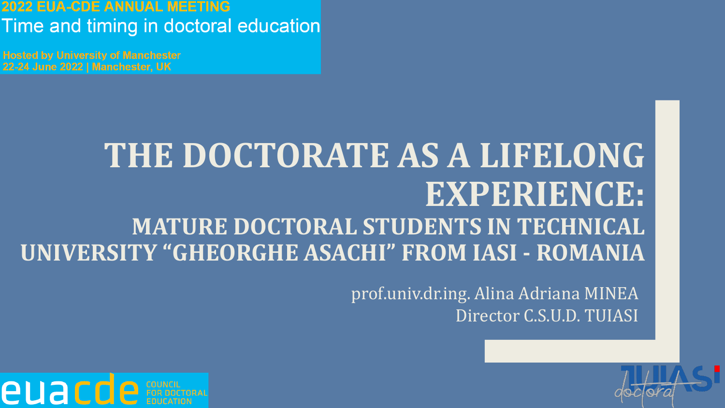#### **EUA-CDE ANNUAL MEETING** Time and timing in doctoral education

**Hosted by University of Manchester** 22-24 June 2022 | Manchester, UK

## **THE DOCTORATE AS A LIFELONG EXPERIENCE: MATURE DOCTORAL STUDENTS IN TECHNICAL UNIVERSITY "GHEORGHE ASACHI" FROM IASI - ROMANIA**

prof.univ.dr.ing. Alina Adriana MINEA Director C.S.U.D. TUIASI



euaco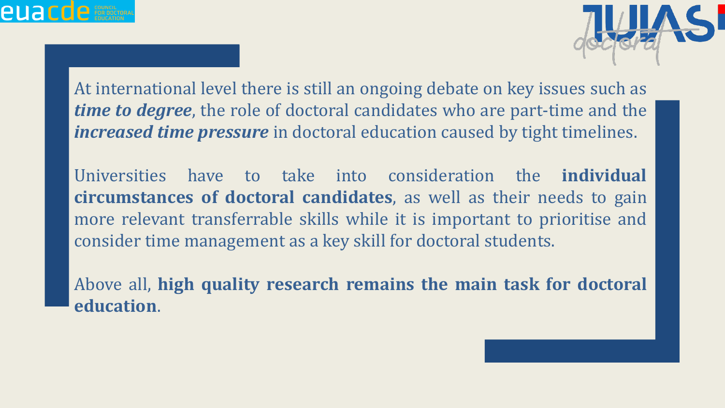



At international level there is still an ongoing debate on key issues such as *time to degree*, the role of doctoral candidates who are part-time and the *increased time pressure* in doctoral education caused by tight timelines.

Universities have to take into consideration the **individual circumstances of doctoral candidates**, as well as their needs to gain more relevant transferrable skills while it is important to prioritise and consider time management as a key skill for doctoral students.

Above all, **high quality research remains the main task for doctoral education**.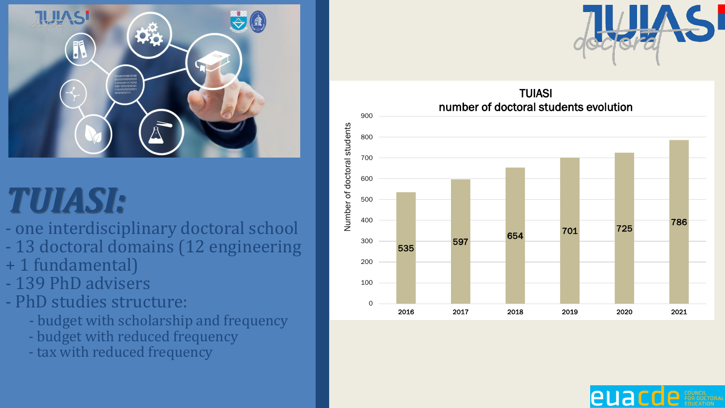

- one interdisciplinary doctoral school
- 13 doctoral domains (12 engineering
- + 1 fundamental)<br>- 139 PhD advisers
- 
- PhD studies structure:
	- budget with scholarship and frequency
	- budget with reduced frequency
	- tax with reduced frequency





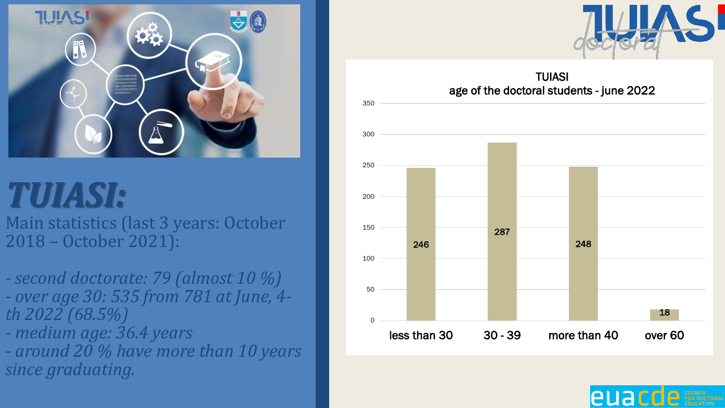

Main statistics (last 3 years: October 2018 – October 2021):

- *- second doctorate: 79 (almost 10 %) - over age 30: 535 from 781 at June, 4 th 2022 (68.5%)*
- *- medium age: 36.4 years*
- *- around 20 % have more than 10 years since graduating.*





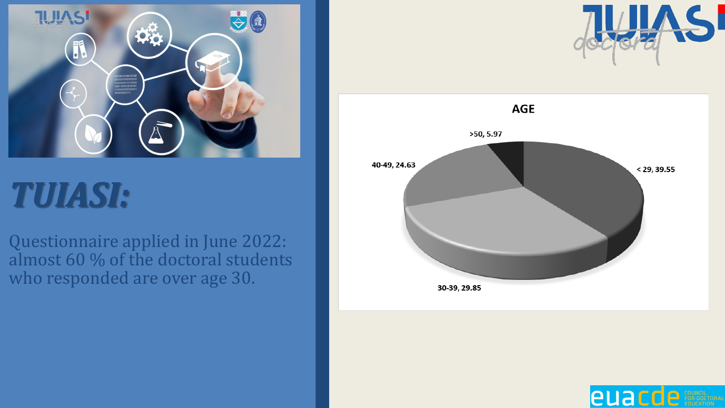

Questionnaire applied in June 2022: almost 60 % of the doctoral students who responded are over age 30.





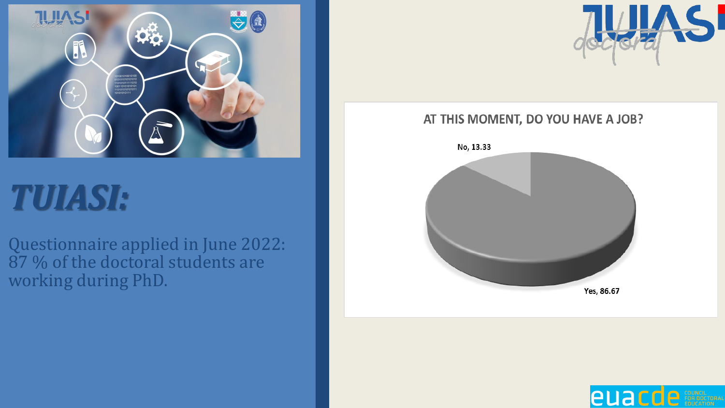

Questionnaire applied in June 2022: 87 % of the doctoral students are working during PhD.



#### AT THIS MOMENT, DO YOU HAVE A JOB?



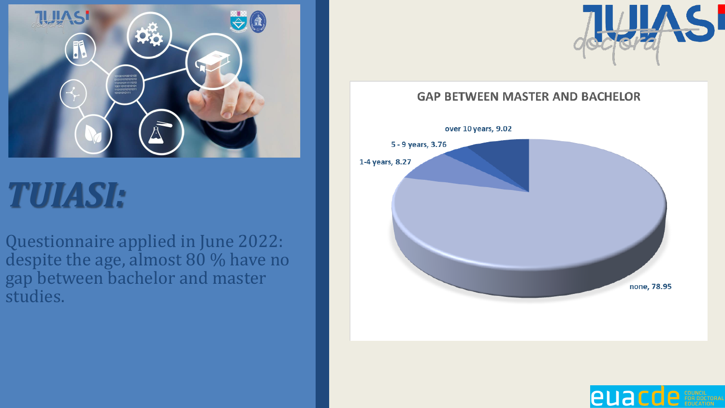

Questionnaire applied in June 2022: despite the age, almost 80 % have no gap between bachelor and master studies.



#### **GAP BETWEEN MASTER AND BACHELOR**



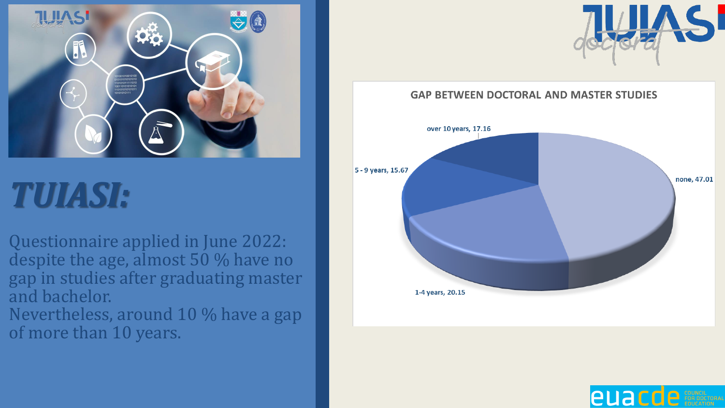

Questionnaire applied in June 2022: despite the age, almost 50 % have no gap in studies after graduating master and bachelor.

Nevertheless, around 10 % have a gap of more than 10 years.



**GAP BETWEEN DOCTORAL AND MASTER STUDIES** 



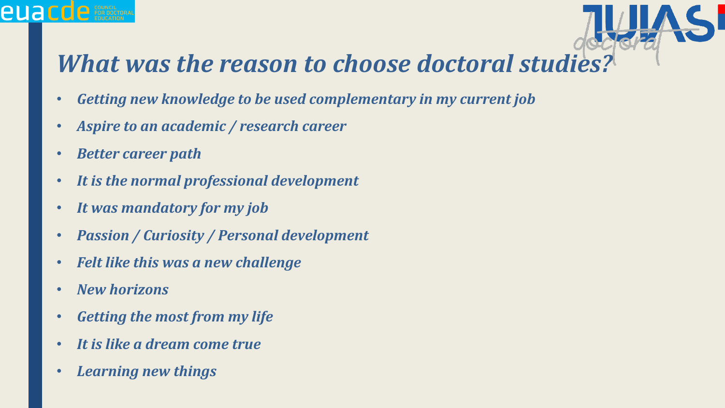#### *What was the reason to choose doctoral studies?*

- *Getting new knowledge to be used complementary in my current job*
- *Aspire to an academic / research career*
- *Better career path*

**euacde** For pocket

- *It is the normal professional development*
- *It was mandatory for my job*
- *Passion / Curiosity / Personal development*
- *Felt like this was a new challenge*
- *New horizons*
- *Getting the most from my life*
- *It is like a dream come true*
- *Learning new things*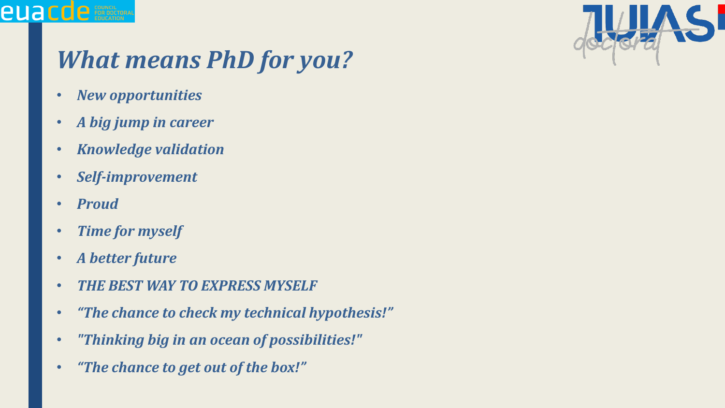

### *What means PhD for you?*

- *New opportunities*
- *A big jump in career*
- *Knowledge validation*
- *Self-improvement*
- *Proud*

**euacde** For Document

- *Time for myself*
- *A better future*
- *THE BEST WAY TO EXPRESS MYSELF*
- *"The chance to check my technical hypothesis!"*
- *"Thinking big in an ocean of possibilities!"*
- *"The chance to get out of the box!"*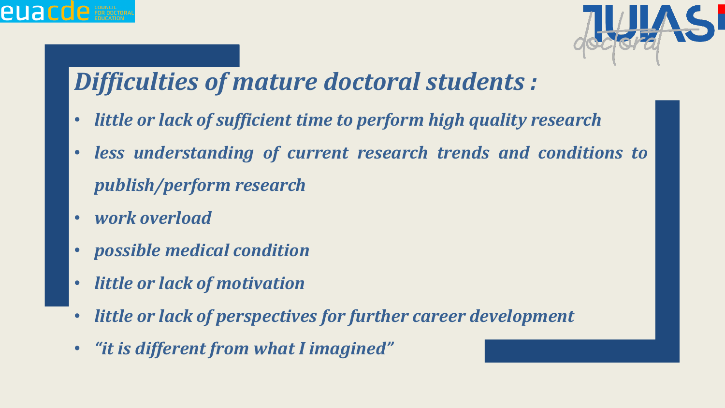



### *Difficulties of mature doctoral students :*

- *little or lack of sufficient time to perform high quality research*
- *less understanding of current research trends and conditions to publish/perform research*
- *work overload*
- *possible medical condition*
- *little or lack of motivation*
- *little or lack of perspectives for further career development*
- *"it is different from what I imagined"*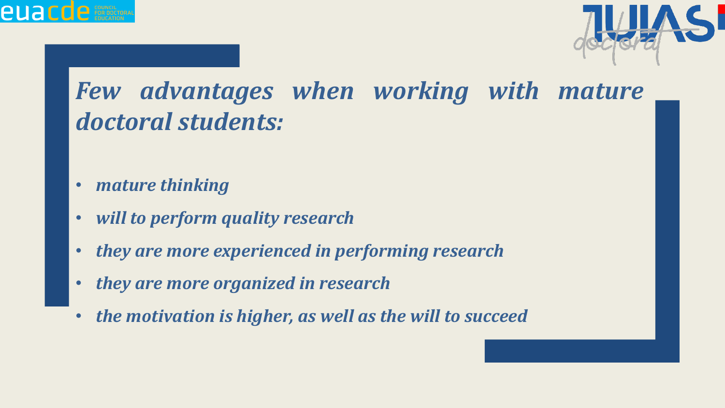



### *Few advantages when working with mature doctoral students:*

- *mature thinking*
- *will to perform quality research*
- *they are more experienced in performing research*
- *they are more organized in research*
- *the motivation is higher, as well as the will to succeed*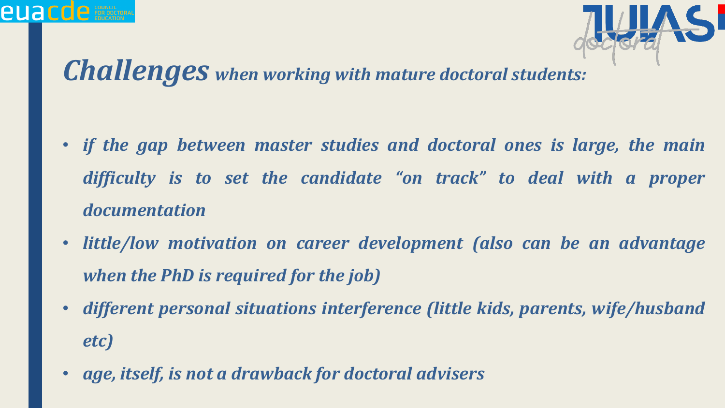

#### *Challenges when working with mature doctoral students:*

**euacde** Episcoper

- *if the gap between master studies and doctoral ones is large, the main difficulty is to set the candidate "on track" to deal with a proper documentation*
- *little/low motivation on career development (also can be an advantage when the PhD is required for the job)*
- *different personal situations interference (little kids, parents, wife/husband etc)*
- *age, itself, is not a drawback for doctoral advisers*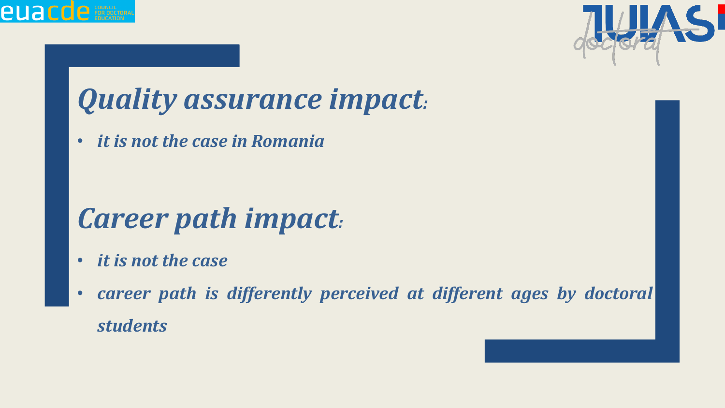



## *Quality assurance impact:*

• *it is not the case in Romania*

## *Career path impact:*

- *it is not the case*
- *career path is differently perceived at different ages by doctoral students*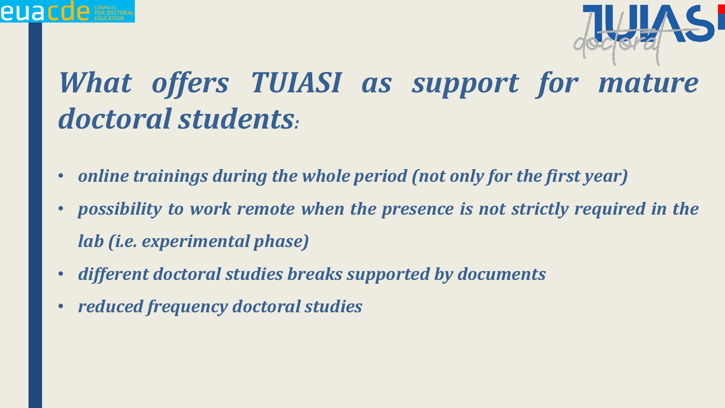

## *What offers TUIASI as support for mature doctoral students:*

- *online trainings during the whole period (not only for the first year)*
- *possibility to work remote when the presence is not strictly required in the lab (i.e. experimental phase)*
- *different doctoral studies breaks supported by documents*
- *reduced frequency doctoral studies*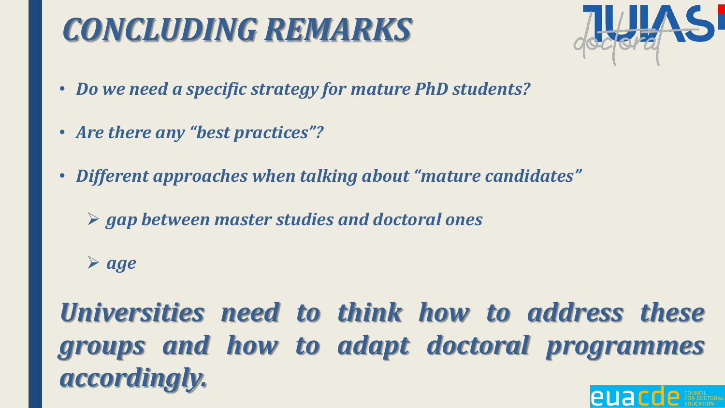## *CONCLUDING REMARKS*



- *Do we need a specific strategy for mature PhD students?*
- *Are there any "best practices"?*
- *Different approaches when talking about "mature candidates"*
	- ➢ *gap between master studies and doctoral ones*

➢ *age*

*Universities need to think how to address these groups and how to adapt doctoral programmes accordingly.*euac